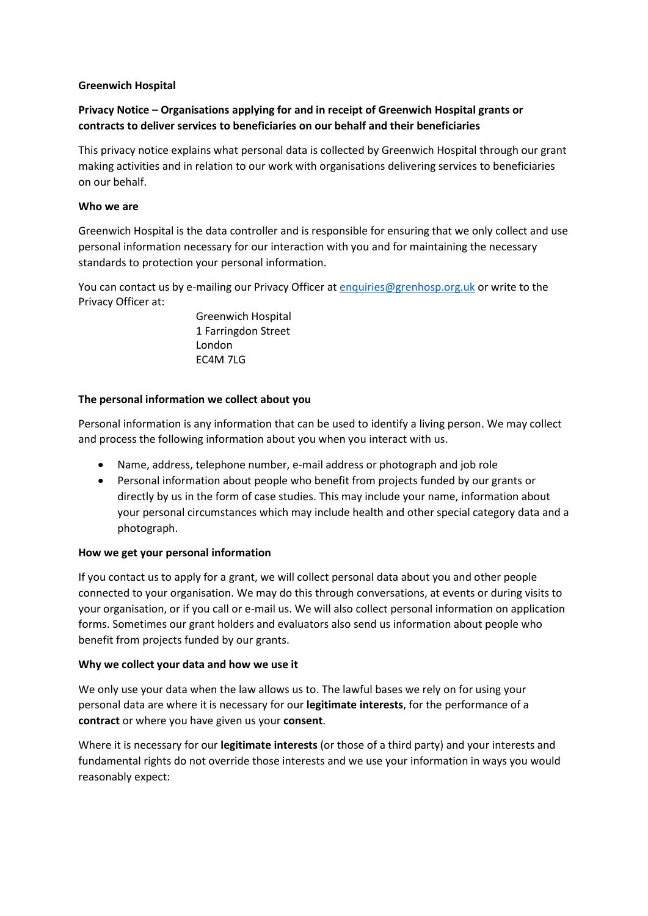## **Greenwich Hospital**

# **Privacy Notice – Organisations applying for and in receipt of Greenwich Hospital grants or contracts to deliver services to beneficiaries on our behalf and their beneficiaries**

This privacy notice explains what personal data is collected by Greenwich Hospital through our grant making activities and in relation to our work with organisations delivering services to beneficiaries on our behalf.

### **Who we are**

Greenwich Hospital is the data controller and is responsible for ensuring that we only collect and use personal information necessary for our interaction with you and for maintaining the necessary standards to protection your personal information.

You can contact us by e-mailing our Privacy Officer at [enquiries@grenhosp.org.uk](mailto:enquiries@grenhosp.org.uk) or write to the Privacy Officer at:

> Greenwich Hospital 1 Farringdon Street London EC4M 7LG

# **The personal information we collect about you**

Personal information is any information that can be used to identify a living person. We may collect and process the following information about you when you interact with us.

- Name, address, telephone number, e-mail address or photograph and job role
- Personal information about people who benefit from projects funded by our grants or directly by us in the form of case studies. This may include your name, information about your personal circumstances which may include health and other special category data and a photograph.

### **How we get your personal information**

If you contact us to apply for a grant, we will collect personal data about you and other people connected to your organisation. We may do this through conversations, at events or during visits to your organisation, or if you call or e-mail us. We will also collect personal information on application forms. Sometimes our grant holders and evaluators also send us information about people who benefit from projects funded by our grants.

### **Why we collect your data and how we use it**

We only use your data when the law allows us to. The lawful bases we rely on for using your personal data are where it is necessary for our **legitimate interests**, for the performance of a **contract** or where you have given us your **consent**.

Where it is necessary for our **legitimate interests** (or those of a third party) and your interests and fundamental rights do not override those interests and we use your information in ways you would reasonably expect: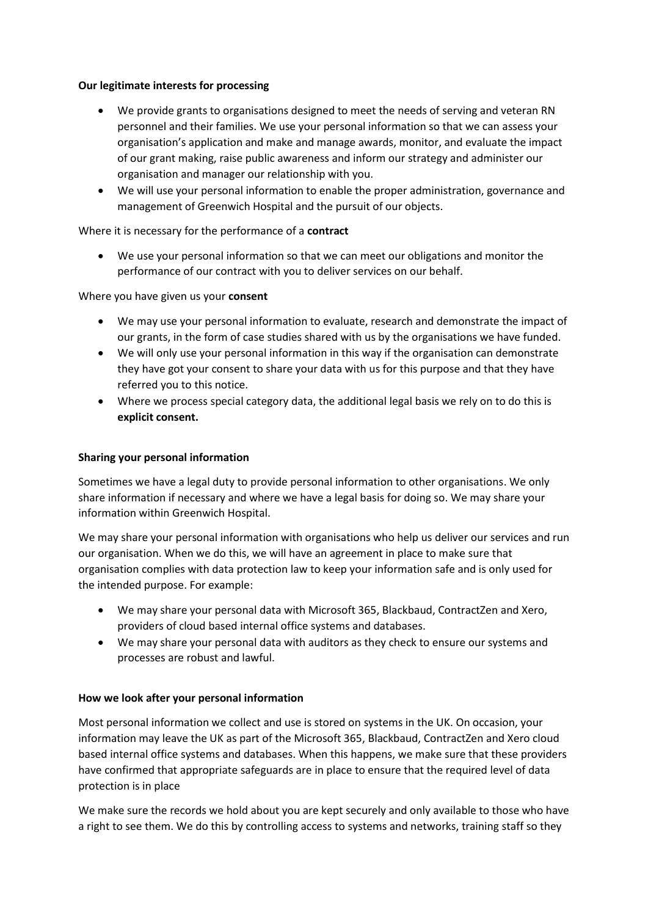### **Our legitimate interests for processing**

- We provide grants to organisations designed to meet the needs of serving and veteran RN personnel and their families. We use your personal information so that we can assess your organisation's application and make and manage awards, monitor, and evaluate the impact of our grant making, raise public awareness and inform our strategy and administer our organisation and manager our relationship with you.
- We will use your personal information to enable the proper administration, governance and management of Greenwich Hospital and the pursuit of our objects.

# Where it is necessary for the performance of a **contract**

• We use your personal information so that we can meet our obligations and monitor the performance of our contract with you to deliver services on our behalf.

# Where you have given us your **consent**

- We may use your personal information to evaluate, research and demonstrate the impact of our grants, in the form of case studies shared with us by the organisations we have funded.
- We will only use your personal information in this way if the organisation can demonstrate they have got your consent to share your data with us for this purpose and that they have referred you to this notice.
- Where we process special category data, the additional legal basis we rely on to do this is **explicit consent.**

# **Sharing your personal information**

Sometimes we have a legal duty to provide personal information to other organisations. We only share information if necessary and where we have a legal basis for doing so. We may share your information within Greenwich Hospital.

We may share your personal information with organisations who help us deliver our services and run our organisation. When we do this, we will have an agreement in place to make sure that organisation complies with data protection law to keep your information safe and is only used for the intended purpose. For example:

- We may share your personal data with Microsoft 365, Blackbaud, ContractZen and Xero, providers of cloud based internal office systems and databases.
- We may share your personal data with auditors as they check to ensure our systems and processes are robust and lawful.

### **How we look after your personal information**

Most personal information we collect and use is stored on systems in the UK. On occasion, your information may leave the UK as part of the Microsoft 365, Blackbaud, ContractZen and Xero cloud based internal office systems and databases. When this happens, we make sure that these providers have confirmed that appropriate safeguards are in place to ensure that the required level of data protection is in place

We make sure the records we hold about you are kept securely and only available to those who have a right to see them. We do this by controlling access to systems and networks, training staff so they